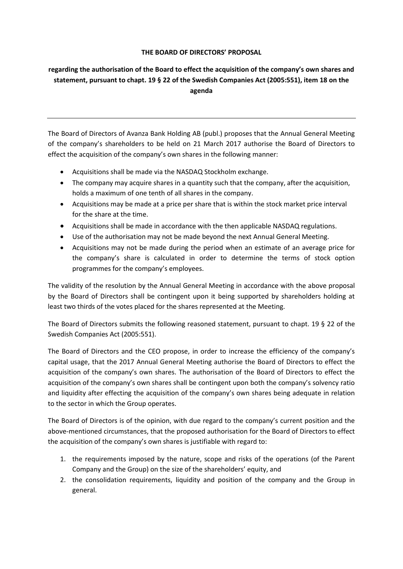## **THE BOARD OF DIRECTORS' PROPOSAL**

## **regarding the authorisation of the Board to effect the acquisition of the company's own shares and statement, pursuant to chapt. 19 § 22 of the Swedish Companies Act (2005:551), item 18 on the agenda**

The Board of Directors of Avanza Bank Holding AB (publ.) proposes that the Annual General Meeting of the company's shareholders to be held on 21 March 2017 authorise the Board of Directors to effect the acquisition of the company's own shares in the following manner:

- Acquisitions shall be made via the NASDAQ Stockholm exchange.
- The company may acquire shares in a quantity such that the company, after the acquisition, holds a maximum of one tenth of all shares in the company.
- Acquisitions may be made at a price per share that is within the stock market price interval for the share at the time.
- Acquisitions shall be made in accordance with the then applicable NASDAQ regulations.
- Use of the authorisation may not be made beyond the next Annual General Meeting.
- Acquisitions may not be made during the period when an estimate of an average price for the company's share is calculated in order to determine the terms of stock option programmes for the company's employees.

The validity of the resolution by the Annual General Meeting in accordance with the above proposal by the Board of Directors shall be contingent upon it being supported by shareholders holding at least two thirds of the votes placed for the shares represented at the Meeting.

The Board of Directors submits the following reasoned statement, pursuant to chapt. 19 § 22 of the Swedish Companies Act (2005:551).

The Board of Directors and the CEO propose, in order to increase the efficiency of the company's capital usage, that the 2017 Annual General Meeting authorise the Board of Directors to effect the acquisition of the company's own shares. The authorisation of the Board of Directors to effect the acquisition of the company's own shares shall be contingent upon both the company's solvency ratio and liquidity after effecting the acquisition of the company's own shares being adequate in relation to the sector in which the Group operates.

The Board of Directors is of the opinion, with due regard to the company's current position and the above-mentioned circumstances, that the proposed authorisation for the Board of Directors to effect the acquisition of the company's own shares is justifiable with regard to:

- 1. the requirements imposed by the nature, scope and risks of the operations (of the Parent Company and the Group) on the size of the shareholders' equity, and
- 2. the consolidation requirements, liquidity and position of the company and the Group in general.